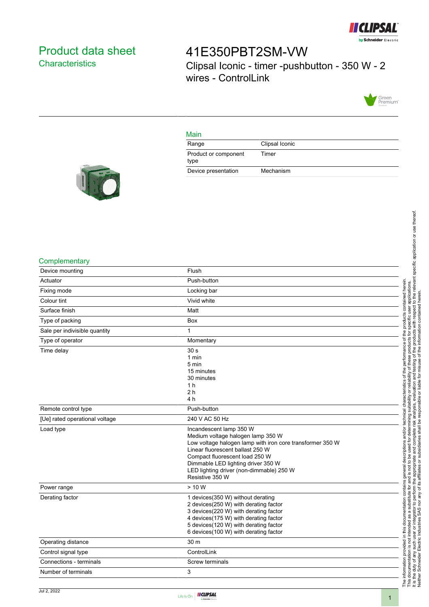

## <span id="page-0-0"></span>Product data sheet **Characteristics**

# 41E350PBT2SM-VW Clipsal Iconic - timer -pushbutton - 350 W - 2 wires - ControlLink



#### Main

| Range                        | Clipsal Iconic |
|------------------------------|----------------|
| Product or component<br>type | Timer          |
| Device presentation          | Mechanism      |



#### **Complementary**

| Device mounting                | Flush                                                                                                                                                                                                                                                                                                |
|--------------------------------|------------------------------------------------------------------------------------------------------------------------------------------------------------------------------------------------------------------------------------------------------------------------------------------------------|
| Actuator                       | Push-button                                                                                                                                                                                                                                                                                          |
| Fixing mode                    | Locking bar                                                                                                                                                                                                                                                                                          |
| Colour tint                    | Vivid white                                                                                                                                                                                                                                                                                          |
| Surface finish                 | Matt                                                                                                                                                                                                                                                                                                 |
| Type of packing                | <b>Box</b>                                                                                                                                                                                                                                                                                           |
| Sale per indivisible quantity  | 1                                                                                                                                                                                                                                                                                                    |
| Type of operator               | Momentary                                                                                                                                                                                                                                                                                            |
| Time delay                     | 30 <sub>s</sub><br>1 min<br>5 min<br>15 minutes<br>30 minutes<br>1 <sub>h</sub><br>2 <sub>h</sub><br>4 h                                                                                                                                                                                             |
| Remote control type            | Push-button                                                                                                                                                                                                                                                                                          |
| [Ue] rated operational voltage | 240 V AC 50 Hz                                                                                                                                                                                                                                                                                       |
| Load type                      | Incandescent lamp 350 W<br>Medium voltage halogen lamp 350 W<br>Low voltage halogen lamp with iron core transformer 350 W<br>Linear fluorescent ballast 250 W<br>Compact fluorescent load 250 W<br>Dimmable LED lighting driver 350 W<br>LED lighting driver (non-dimmable) 250 W<br>Resistive 350 W |
| Power range                    | > 10 W                                                                                                                                                                                                                                                                                               |
| Derating factor                | 1 devices(350 W) without derating<br>2 devices(250 W) with derating factor<br>3 devices(220 W) with derating factor<br>4 devices(175 W) with derating factor<br>5 devices(120 W) with derating factor<br>6 devices (100 W) with derating factor                                                      |
| Operating distance             | 30 m                                                                                                                                                                                                                                                                                                 |
| Control signal type            | ControlLink                                                                                                                                                                                                                                                                                          |
| Connections - terminals        | Screw terminals                                                                                                                                                                                                                                                                                      |
| Number of terminals            | 3                                                                                                                                                                                                                                                                                                    |